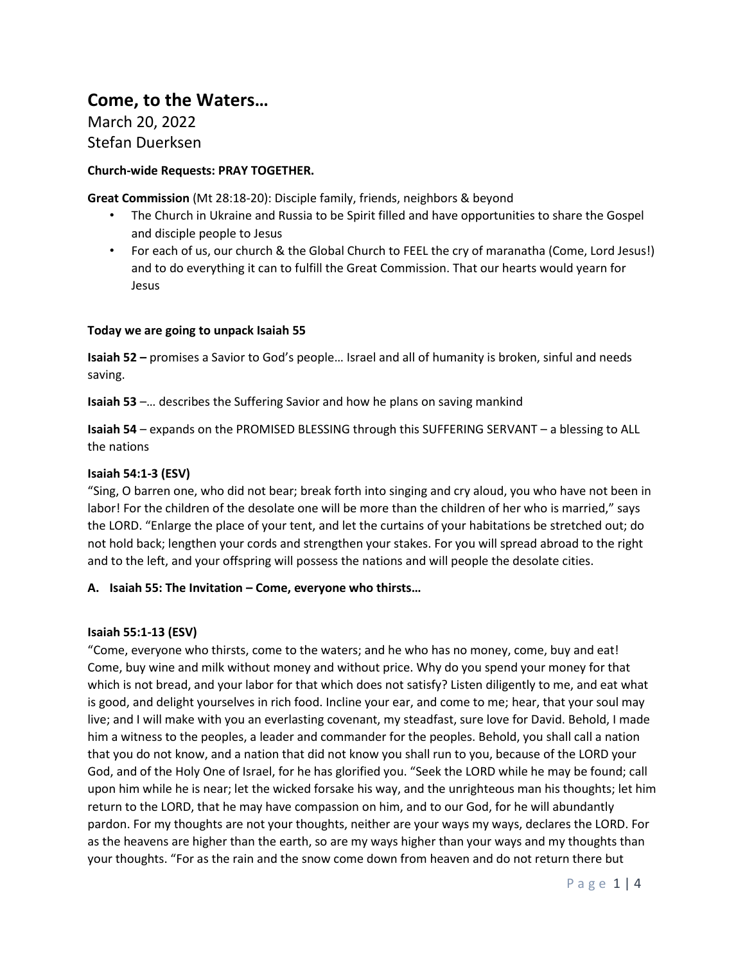# **Come, to the Waters…**

March 20, 2022 Stefan Duerksen

### **Church-wide Requests: PRAY TOGETHER.**

**Great Commission** (Mt 28:18-20): Disciple family, friends, neighbors & beyond

- The Church in Ukraine and Russia to be Spirit filled and have opportunities to share the Gospel and disciple people to Jesus
- For each of us, our church & the Global Church to FEEL the cry of maranatha (Come, Lord Jesus!) and to do everything it can to fulfill the Great Commission. That our hearts would yearn for Jesus

### **Today we are going to unpack Isaiah 55**

**Isaiah 52 –** promises a Savior to God's people… Israel and all of humanity is broken, sinful and needs saving.

**Isaiah 53** –… describes the Suffering Savior and how he plans on saving mankind

**Isaiah 54** – expands on the PROMISED BLESSING through this SUFFERING SERVANT – a blessing to ALL the nations

### **Isaiah 54:1-3 (ESV)**

"Sing, O barren one, who did not bear; break forth into singing and cry aloud, you who have not been in labor! For the children of the desolate one will be more than the children of her who is married," says the LORD. "Enlarge the place of your tent, and let the curtains of your habitations be stretched out; do not hold back; lengthen your cords and strengthen your stakes. For you will spread abroad to the right and to the left, and your offspring will possess the nations and will people the desolate cities.

### **A. Isaiah 55: The Invitation – Come, everyone who thirsts…**

#### **Isaiah 55:1-13 (ESV)**

"Come, everyone who thirsts, come to the waters; and he who has no money, come, buy and eat! Come, buy wine and milk without money and without price. Why do you spend your money for that which is not bread, and your labor for that which does not satisfy? Listen diligently to me, and eat what is good, and delight yourselves in rich food. Incline your ear, and come to me; hear, that your soul may live; and I will make with you an everlasting covenant, my steadfast, sure love for David. Behold, I made him a witness to the peoples, a leader and commander for the peoples. Behold, you shall call a nation that you do not know, and a nation that did not know you shall run to you, because of the LORD your God, and of the Holy One of Israel, for he has glorified you. "Seek the LORD while he may be found; call upon him while he is near; let the wicked forsake his way, and the unrighteous man his thoughts; let him return to the LORD, that he may have compassion on him, and to our God, for he will abundantly pardon. For my thoughts are not your thoughts, neither are your ways my ways, declares the LORD. For as the heavens are higher than the earth, so are my ways higher than your ways and my thoughts than your thoughts. "For as the rain and the snow come down from heaven and do not return there but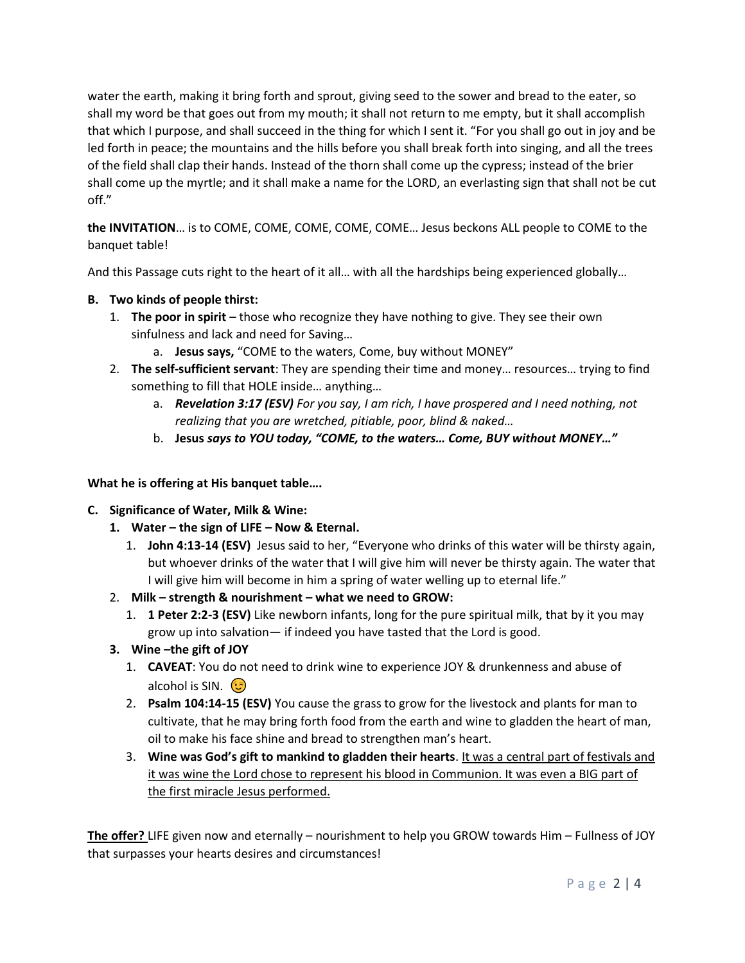water the earth, making it bring forth and sprout, giving seed to the sower and bread to the eater, so shall my word be that goes out from my mouth; it shall not return to me empty, but it shall accomplish that which I purpose, and shall succeed in the thing for which I sent it. "For you shall go out in joy and be led forth in peace; the mountains and the hills before you shall break forth into singing, and all the trees of the field shall clap their hands. Instead of the thorn shall come up the cypress; instead of the brier shall come up the myrtle; and it shall make a name for the LORD, an everlasting sign that shall not be cut off."

**the INVITATION**… is to COME, COME, COME, COME, COME… Jesus beckons ALL people to COME to the banquet table!

And this Passage cuts right to the heart of it all… with all the hardships being experienced globally…

# **B. Two kinds of people thirst:**

- 1. **The poor in spirit** those who recognize they have nothing to give. They see their own sinfulness and lack and need for Saving…
	- a. **Jesus says,** "COME to the waters, Come, buy without MONEY"
- 2. **The self-sufficient servant**: They are spending their time and money… resources… trying to find something to fill that HOLE inside… anything…
	- a. *Revelation 3:17 (ESV) For you say, I am rich, I have prospered and I need nothing, not realizing that you are wretched, pitiable, poor, blind & naked…*
	- b. **Jesus** *says to YOU today, "COME, to the waters… Come, BUY without MONEY…"*

# **What he is offering at His banquet table….**

# **C. Significance of Water, Milk & Wine:**

- **1. Water – the sign of LIFE – Now & Eternal.** 
	- 1. **John 4:13-14 (ESV)** Jesus said to her, "Everyone who drinks of this water will be thirsty again, but whoever drinks of the water that I will give him will never be thirsty again. The water that I will give him will become in him a spring of water welling up to eternal life."
- 2. **Milk – strength & nourishment – what we need to GROW:**
	- 1. **1 Peter 2:2-3 (ESV)** Like newborn infants, long for the pure spiritual milk, that by it you may grow up into salvation— if indeed you have tasted that the Lord is good.
- **3. Wine –the gift of JOY**
	- 1. **CAVEAT**: You do not need to drink wine to experience JOY & drunkenness and abuse of alcohol is SIN.  $\circled{3}$
	- 2. **Psalm 104:14-15 (ESV)** You cause the grass to grow for the livestock and plants for man to cultivate, that he may bring forth food from the earth and wine to gladden the heart of man, oil to make his face shine and bread to strengthen man's heart.
	- 3. **Wine was God's gift to mankind to gladden their hearts**. It was a central part of festivals and it was wine the Lord chose to represent his blood in Communion. It was even a BIG part of the first miracle Jesus performed.

**The offer?** LIFE given now and eternally – nourishment to help you GROW towards Him – Fullness of JOY that surpasses your hearts desires and circumstances!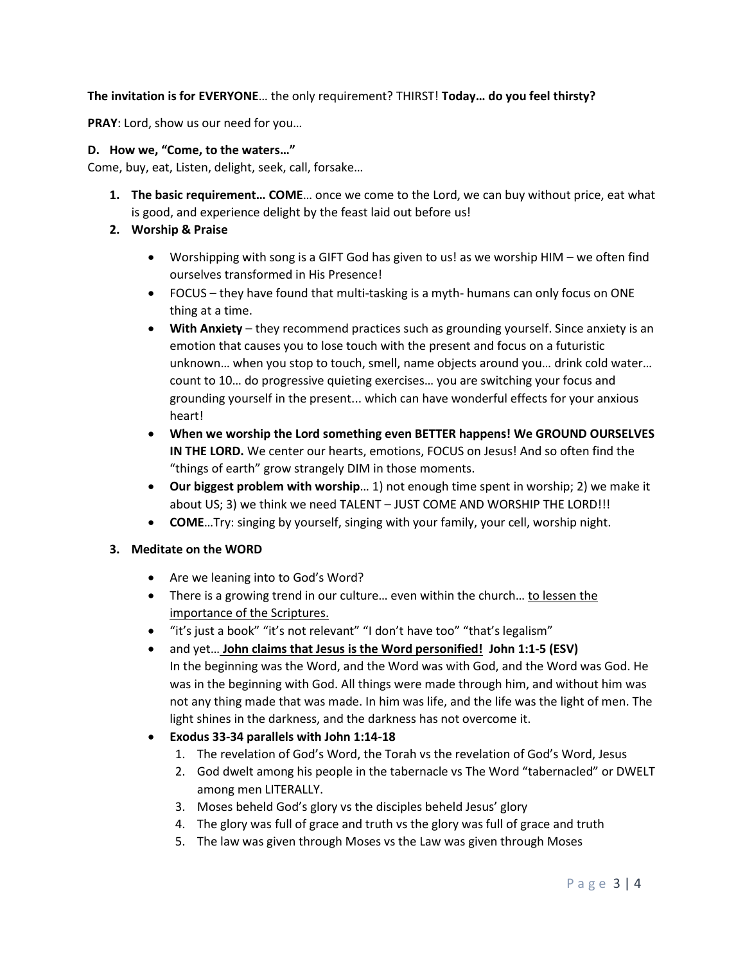### **The invitation is for EVERYONE**… the only requirement? THIRST! **Today… do you feel thirsty?**

**PRAY**: Lord, show us our need for you…

#### **D. How we, "Come, to the waters…"**

Come, buy, eat, Listen, delight, seek, call, forsake…

- **1. The basic requirement… COME**… once we come to the Lord, we can buy without price, eat what is good, and experience delight by the feast laid out before us!
- **2. Worship & Praise**
	- Worshipping with song is a GIFT God has given to us! as we worship HIM we often find ourselves transformed in His Presence!
	- FOCUS they have found that multi-tasking is a myth- humans can only focus on ONE thing at a time.
	- **With Anxiety** they recommend practices such as grounding yourself. Since anxiety is an emotion that causes you to lose touch with the present and focus on a futuristic unknown… when you stop to touch, smell, name objects around you… drink cold water… count to 10… do progressive quieting exercises… you are switching your focus and grounding yourself in the present... which can have wonderful effects for your anxious heart!
	- **When we worship the Lord something even BETTER happens! We GROUND OURSELVES IN THE LORD.** We center our hearts, emotions, FOCUS on Jesus! And so often find the "things of earth" grow strangely DIM in those moments.
	- **Our biggest problem with worship**… 1) not enough time spent in worship; 2) we make it about US; 3) we think we need TALENT – JUST COME AND WORSHIP THE LORD!!!
	- **COME**…Try: singing by yourself, singing with your family, your cell, worship night.

#### **3. Meditate on the WORD**

- Are we leaning into to God's Word?
- There is a growing trend in our culture... even within the church... to lessen the importance of the Scriptures.
- "it's just a book" "it's not relevant" "I don't have too" "that's legalism"
- and yet… **John claims that Jesus is the Word personified! John 1:1-5 (ESV)**  In the beginning was the Word, and the Word was with God, and the Word was God. He was in the beginning with God. All things were made through him, and without him was not any thing made that was made. In him was life, and the life was the light of men. The light shines in the darkness, and the darkness has not overcome it.
- **Exodus 33-34 parallels with John 1:14-18**
	- 1. The revelation of God's Word, the Torah vs the revelation of God's Word, Jesus
	- 2. God dwelt among his people in the tabernacle vs The Word "tabernacled" or DWELT among men LITERALLY.
	- 3. Moses beheld God's glory vs the disciples beheld Jesus' glory
	- 4. The glory was full of grace and truth vs the glory was full of grace and truth
	- 5. The law was given through Moses vs the Law was given through Moses